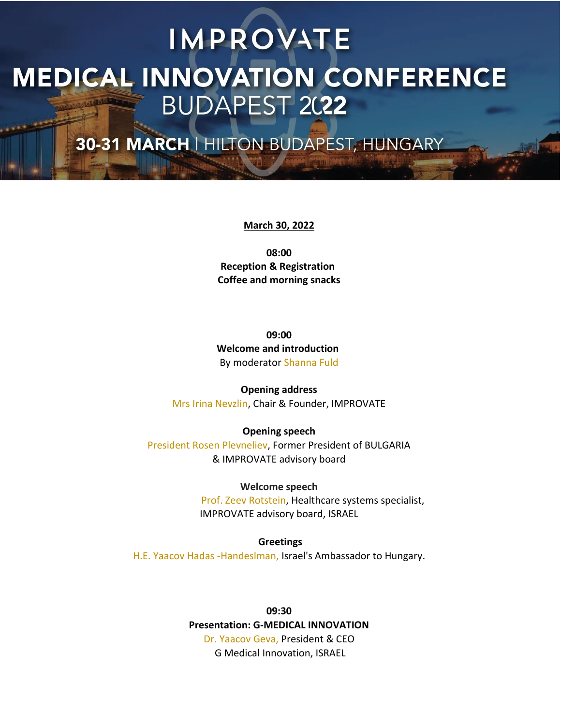30-31 MARCH | HILTON BUDAPEST, HUNGARY

#### **March 30, 2022**

**08:00 Reception & Registration Coffee and morning snacks**

**09:00 Welcome and introduction**  By moderator Shanna Fuld

**Opening address** Mrs Irina Nevzlin, Chair & Founder, IMPROVATE

**Opening speech** President Rosen Plevneliev, Former President of BULGARIA & IMPROVATE advisory board

> **Welcome speech** Prof. Zeev Rotstein, Healthcare systems specialist,

IMPROVATE advisory board, ISRAEL

**Greetings** H.E. Yaacov Hadas -Handeslman, Israel's Ambassador to Hungary.

> **09:30 Presentation: G-MEDICAL INNOVATION** Dr. Yaacov Geva, President & CEO G Medical Innovation, ISRAEL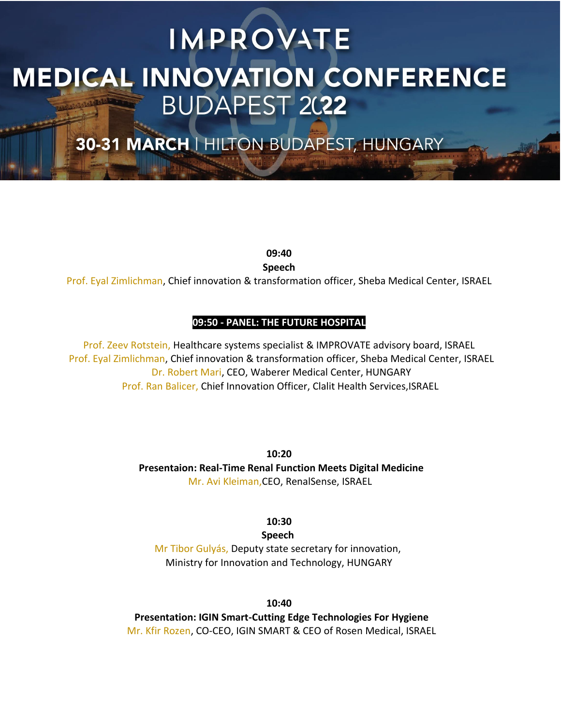30-31 MARCH | HILTON BUDAPEST, HUNGARY

**09:40**

**Speech**

Prof. Eyal Zimlichman, Chief innovation & transformation officer, Sheba Medical Center, ISRAEL

### **09:50 - PANEL: THE FUTURE HOSPITAL**

Prof. Zeev Rotstein, Healthcare systems specialist & IMPROVATE advisory board, ISRAEL Prof. Eyal Zimlichman, Chief innovation & transformation officer, Sheba Medical Center, ISRAEL Dr. Robert Mari, CEO, Waberer Medical Center, HUNGARY Prof. Ran Balicer, Chief Innovation Officer, Clalit Health Services,ISRAEL

> **10:20 Presentaion: Real-Time Renal Function Meets Digital Medicine**  Mr. Avi Kleiman,CEO, RenalSense, ISRAEL

> > **10:30**

**Speech** 

Mr Tibor Gulyás, Deputy state secretary for innovation, Ministry for Innovation and Technology, HUNGARY

**10:40**

**Presentation: IGIN Smart-Cutting Edge Technologies For Hygiene** Mr. Kfir Rozen, CO-CEO, IGIN SMART & CEO of Rosen Medical, ISRAEL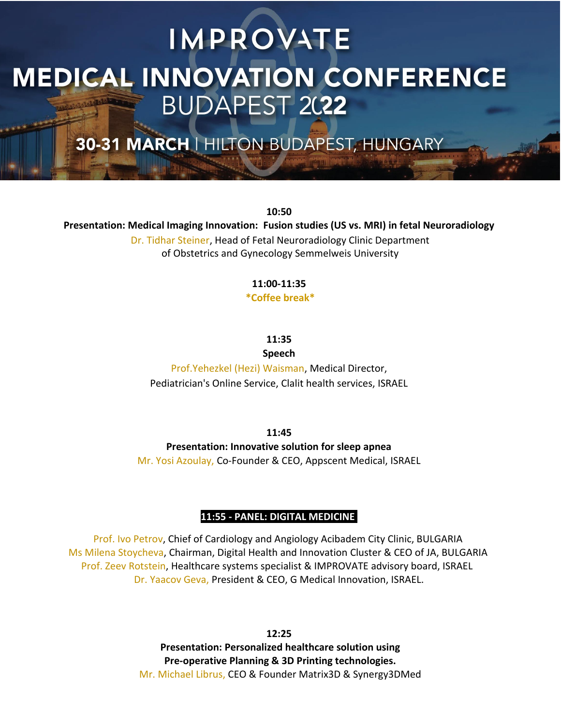30-31 MARCH | HILTON BUDAPEST, HUNGARY

**10:50 Presentation: Medical Imaging Innovation: Fusion studies (US vs. MRI) in fetal Neuroradiology** Dr. Tidhar Steiner, Head of Fetal Neuroradiology Clinic Department of Obstetrics and Gynecology Semmelweis University

### **11:00-11:35**

**\*Coffee break\***

**11:35**

**Speech**

Prof.Yehezkel (Hezi) Waisman, Medical Director, Pediatrician's Online Service, Clalit health services, ISRAEL

**11:45**

**Presentation: Innovative solution for sleep apnea**

Mr. Yosi Azoulay, Co-Founder & CEO, Appscent Medical, ISRAEL

#### **11:55 - PANEL: DIGITAL MEDICINE**

Prof. Ivo Petrov, Chief of Cardiology and Angiology Acibadem City Clinic, BULGARIA Ms Milena Stoycheva, Chairman, Digital Health and Innovation Cluster & CEO of JA, BULGARIA Prof. Zeev Rotstein, Healthcare systems specialist & IMPROVATE advisory board, ISRAEL Dr. Yaacov Geva, President & CEO, G Medical Innovation, ISRAEL.

> **12:25 Presentation: Personalized healthcare solution using Pre-operative Planning & 3D Printing technologies.** Mr. Michael Librus, CEO & Founder Matrix3D & Synergy3DMed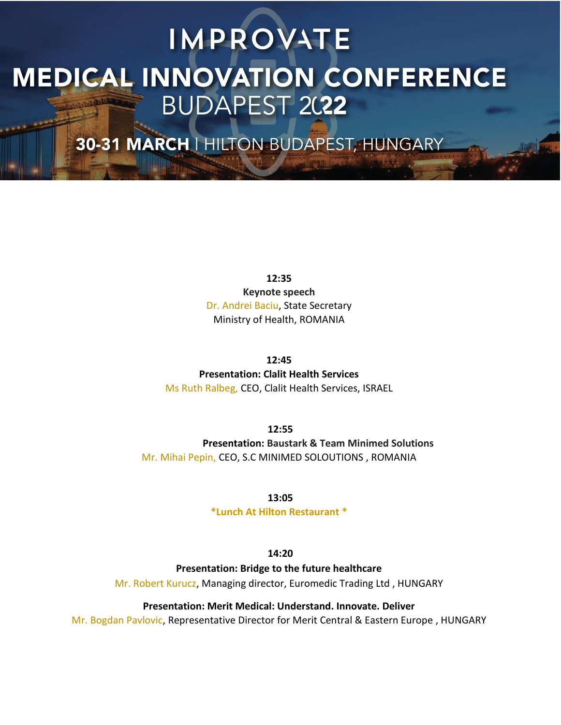30-31 MARCH | HILTON BUDAPEST, HUNGARY

**12:35 Keynote speech** Dr. Andrei Baciu, State Secretary Ministry of Health, ROMANIA

**12:45 Presentation: Clalit Health Services**

Ms Ruth Ralbeg, CEO, Clalit Health Services, ISRAEL

**12:55 Presentation: Baustark & Team Minimed Solutions** Mr. Mihai Pepin, CEO, S.C MINIMED SOLOUTIONS , ROMANIA

**13:05**

**\*Lunch At Hilton Restaurant \***

**14:20**

**Presentation: Bridge to the future healthcare**

Mr. Robert Kurucz, Managing director, Euromedic Trading Ltd , HUNGARY

**Presentation: Merit Medical: Understand. Innovate. Deliver**

Mr. Bogdan Pavlovic, Representative Director for Merit Central & Eastern Europe , HUNGARY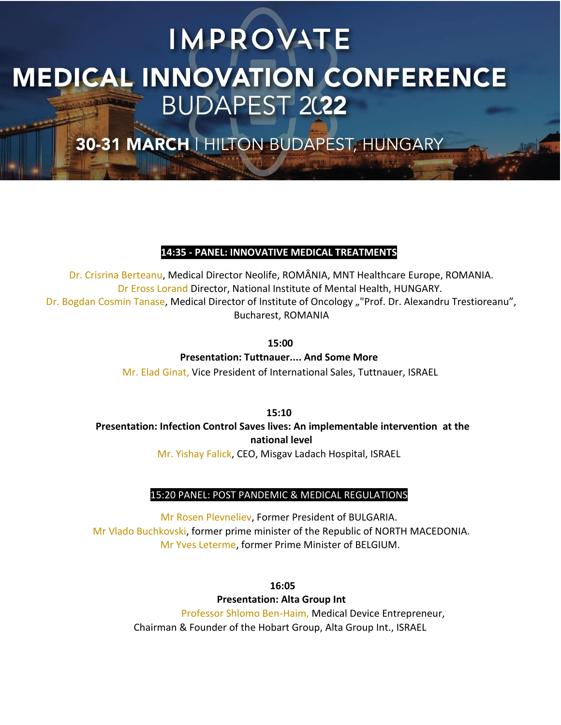30-31 MARCH | HILTON BUDAPEST, HUNGARY

### **14:35 - PANEL: INNOVATIVE MEDICAL TREATMENTS**

Dr. Crisrina Berteanu, Medical Director Neolife, ROMÂNIA, MNT Healthcare Europe, ROMANIA. Dr Eross Lorand Director, National Institute of Mental Health, HUNGARY. Dr. Bogdan Cosmin Tanase, Medical Director of Institute of Oncology ""Prof. Dr. Alexandru Trestioreanu", Bucharest, ROMANIA

**15:00**

**Presentation: Tuttnauer.... And Some More** Mr. Elad Ginat, Vice President of International Sales, Tuttnauer, ISRAEL

**15:10 Presentation: Infection Control Saves lives: An implementable intervention at the national level** Mr. Yishay Falick, CEO, Misgav Ladach Hospital, ISRAEL

### 15:20 PANEL: POST PANDEMIC & MEDICAL REGULATIONS

Mr Rosen Plevneliev, Former President of BULGARIA. Mr Vlado Buchkovski, former prime minister of the Republic of NORTH MACEDONIA. Mr Yves Leterme, former Prime Minister of BELGIUM.

> **16:05 Presentation: Alta Group Int** Professor Shlomo Ben-Haim, Medical Device Entrepreneur, Chairman & Founder of the Hobart Group, Alta Group Int., ISRAEL